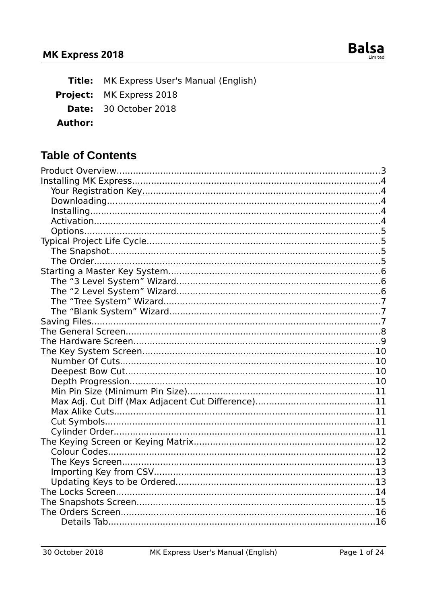

Title: MK Express User's Manual (English)

Project: MK Express 2018

- Date: 30 October 2018
- **Author:**

## **Table of Contents**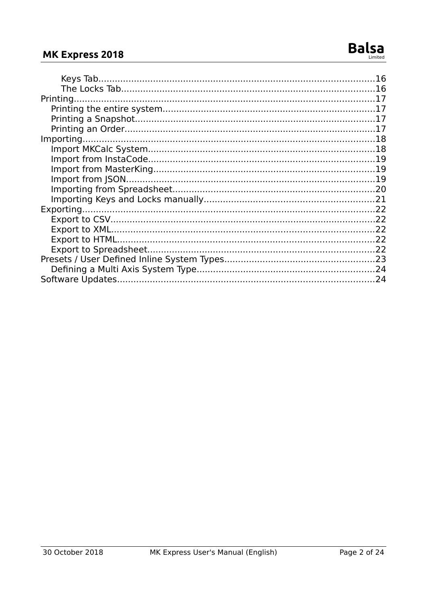## MK Express 2018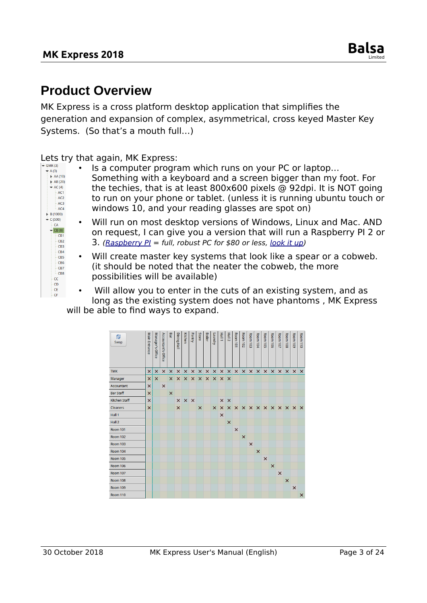# <span id="page-2-0"></span>**Product Overview**

MK Express is a cross platform desktop application that simplifies the generation and expansion of complex, asymmetrical, cross keyed Master Key Systems. (So that's a mouth full…)

Lets try that again, MK Express:

- $+A(3)$  $A = A(10)$  $\overrightarrow{AB}$  (20)  $\overline{\phantom{a}}$  AC (4)  $-AC1$  $AC2$  $AC3$  $ACA$  $\blacktriangleright$  B (1000)  $-C(500)$  $CA$  $\overline{CB(8)}$  $-CB1$ CB<sub>2</sub> CB3 CB4 CB5  $-CB6$ CB7 CB8 cc - CD  $CE$  $-cF$
- Is a computer program which runs on your PC or laptop… Something with a keyboard and a screen bigger than my foot. For the techies, that is at least 800x600 pixels @ 92dpi. It is NOT going to run on your phone or tablet. (unless it is running ubuntu touch or windows 10, and your reading glasses are spot on)
- Will run on most desktop versions of Windows, Linux and Mac. AND on request, I can give you a version that will run a Raspberry PI 2 or 3. (Raspberry  $PI = full$ , robust PC for \$80 or less, [look it up\)](https://en.wikipedia.org/wiki/Raspberry_Pi)
- Will create master key systems that look like a spear or a cobweb. (it should be noted that the neater the cobweb, the more possibilities will be available)
- Will allow you to enter in the cuts of an existing system, and as long as the existing system does not have phantoms , MK Express will be able to find ways to expand.

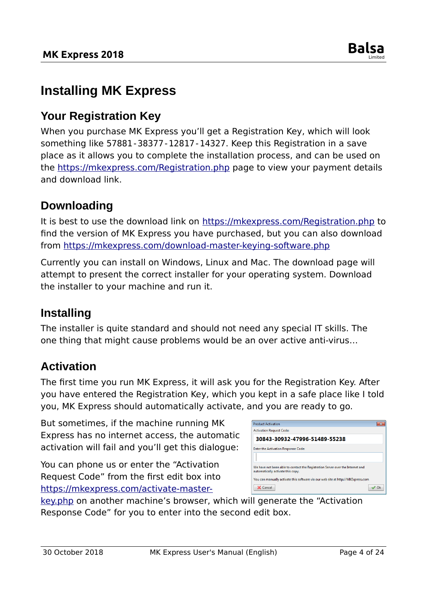

# <span id="page-3-4"></span>**Installing MK Express**

## <span id="page-3-3"></span>**Your Registration Key**

When you purchase MK Express you'll get a Registration Key, which will look something like 57881-38377-12817-14327. Keep this Registration in a save place as it allows you to complete the installation process, and can be used on the<https://mkexpress.com/Registration.php>page to view your payment details and download link.

#### <span id="page-3-2"></span>**Downloading**

It is best to use the download link on<https://mkexpress.com/Registration.php>to find the version of MK Express you have purchased, but you can also download from<https://mkexpress.com/download-master-keying-software.php>

Currently you can install on Windows, Linux and Mac. The download page will attempt to present the correct installer for your operating system. Download the installer to your machine and run it.

#### <span id="page-3-1"></span>**Installing**

The installer is quite standard and should not need any special IT skills. The one thing that might cause problems would be an over active anti-virus…

## <span id="page-3-0"></span>**Activation**

The first time you run MK Express, it will ask you for the Registration Key. After you have entered the Registration Key, which you kept in a safe place like I told you, MK Express should automatically activate, and you are ready to go.

But sometimes, if the machine running MK Express has no internet access, the automatic activation will fail and you'll get this dialogue:

You can phone us or enter the "Activation Request Code" from the first edit box into [https://mkexpress.com/activate-master-](https://mkexpress.com/activate-master-key.php)

| <b>Product Activation</b>                                                                                           |      |
|---------------------------------------------------------------------------------------------------------------------|------|
| <b>Activation Request Code:</b>                                                                                     |      |
| 30843-30932-47996-51489-55238                                                                                       |      |
| <b>Enter the Activation Response Code:</b>                                                                          |      |
|                                                                                                                     |      |
| We have not been able to contact the Registration Server over the Internet and<br>automatically activate this copy. |      |
| You can manually activate this software via our web site at http://MKExpress.com                                    |      |
| Cancel                                                                                                              | ∕ Ok |

[key.php](https://mkexpress.com/activate-master-key.php) on another machine's browser, which will generate the "Activation Response Code" for you to enter into the second edit box.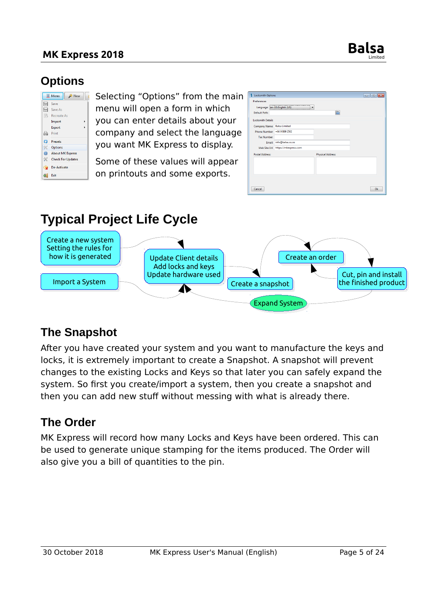#### **MK Express 2018 Balsa**



## <span id="page-4-3"></span>**Options**

|           | <b>亚 Menu</b><br>New     |
|-----------|--------------------------|
| H         | Save                     |
| A         | Save As                  |
| 爲         | Recreate As              |
|           | Import                   |
|           | Export                   |
| A         | Print                    |
| ධ         | <b>Presets</b>           |
| ≪         | Options                  |
| $\bullet$ | <b>About MK Express</b>  |
| ℁         | <b>Check For Updates</b> |
| ۹         | De-Activate              |
| 51        | <b>Fxit</b>              |

Selecting "Options" from the main menu will open a form in which you can enter details about your company and select the language you want MK Express to display.

Some of these values will appear on printouts and some exports.

| <b>S</b> Locksmith Options                                   |                                     | $\Box$<br>-o-l |
|--------------------------------------------------------------|-------------------------------------|----------------|
| Preferences<br>Language: en-US:English (US)<br>Default Path: |                                     |                |
| <b>Locksmith Details</b>                                     |                                     |                |
| Company Name: Balsa Limited                                  |                                     |                |
| Phone Number: +64 9 889 2502                                 |                                     |                |
| <b>Tax Number:</b>                                           |                                     |                |
| Email:                                                       | info@balsa.co.nz                    |                |
|                                                              | Web Site Url: https://mkexpress.com |                |
| <b>Postal Address:</b>                                       | <b>Physical Address:</b>            |                |
|                                                              |                                     |                |
| Cancel                                                       |                                     | Ok             |

# <span id="page-4-2"></span>**Typical Project Life Cycle**



## <span id="page-4-1"></span>**The Snapshot**

After you have created your system and you want to manufacture the keys and locks, it is extremely important to create a Snapshot. A snapshot will prevent changes to the existing Locks and Keys so that later you can safely expand the system. So first you create/import a system, then you create a snapshot and then you can add new stuff without messing with what is already there.

## <span id="page-4-0"></span>**The Order**

MK Express will record how many Locks and Keys have been ordered. This can be used to generate unique stamping for the items produced. The Order will also give you a bill of quantities to the pin.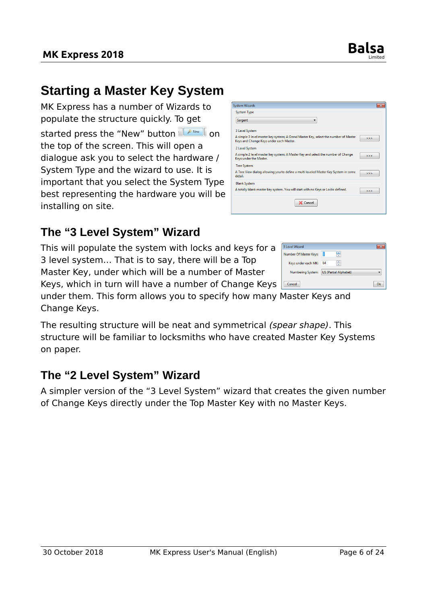

# <span id="page-5-2"></span>**Starting a Master Key System**

MK Express has a number of Wizards to populate the structure quickly. To get started press the "New" button **I A New I** on the top of the screen. This will open a dialogue ask you to select the hardware / System Type and the wizard to use. It is important that you select the System Type best representing the hardware you will be installing on site.

| <b>System Wizards</b>                                                                                                          | 93  |
|--------------------------------------------------------------------------------------------------------------------------------|-----|
| <b>System Type</b>                                                                                                             |     |
| Sargent                                                                                                                        |     |
| 3 Level System                                                                                                                 |     |
| A simple 3 level master key system; A Grand Master Key, select the number of Master<br>Keys and Change Keys under each Master. | >   |
| 2 Level System                                                                                                                 |     |
| A simple 2 level master key system; A Master Key and select the number of Change<br>Keys under the Master.                     | >>  |
| <b>Tree System</b>                                                                                                             |     |
| A Tree View dialog allowing you to define a multi leveled Master Key System in some<br>detail.                                 | 555 |
| <b>Blank System</b>                                                                                                            |     |
| A totally blank master key system. You will start with no Keys or Locks defined.                                               | >>  |
| X Cancel                                                                                                                       |     |

#### <span id="page-5-1"></span>**The "3 Level System" Wizard**

This will populate the system with locks and keys for a 3 level system… That is to say, there will be a Top Master Key, under which will be a number of Master

Keys, which in turn will have a number of Change Keys

3 Level Wizard p Number Of Master Keys: Keys under each MK: 64  $\frac{1}{\sqrt{2}}$ Numbering System: US (Partial Alphabet)  $Q_{\mathbf{k}}$ 

under them. This form allows you to specify how many Master Keys and Change Keys.

The resulting structure will be neat and symmetrical (spear shape). This structure will be familiar to locksmiths who have created Master Key Systems on paper.

#### <span id="page-5-0"></span>**The "2 Level System" Wizard**

A simpler version of the "3 Level System" wizard that creates the given number of Change Keys directly under the Top Master Key with no Master Keys.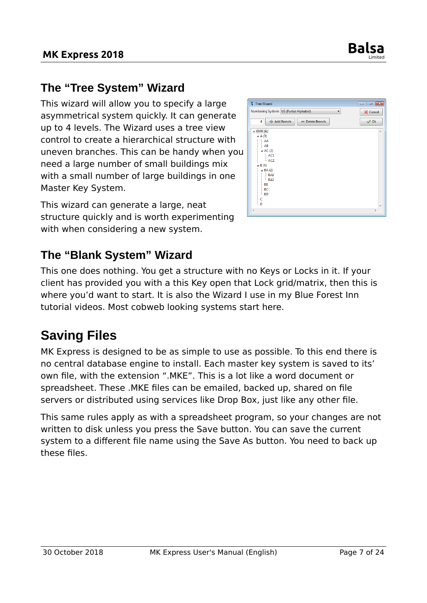

## <span id="page-6-2"></span>**The "Tree System" Wizard**

This wizard will allow you to specify a large asymmetrical system quickly. It can generate up to 4 levels. The Wizard uses a tree view control to create a hierarchical structure with uneven branches. This can be handy when you need a large number of small buildings mix with a small number of large buildings in one Master Key System.

This wizard can generate a large, neat structure quickly and is worth experimenting with when considering a new system.

| Tree Wizard                                                               | $\Box$ $\Box$ $\bm{x}$   |
|---------------------------------------------------------------------------|--------------------------|
| Numbering System: US (Partial Alphabet)<br>▼                              | X Cancel                 |
| 수 Add Branch<br>4<br>Delete Branch<br>$\triangleleft$ GMK (4)             | $\vee$ Ok<br>×           |
| $\triangle$ A (3)<br>$-AA$<br>$-AB$<br>AC(2)<br>$-$ AC1                   |                          |
| $-$ AC <sub>2</sub><br>$\triangle$ B(4)<br>$\triangle$ BA $(2)$<br>$-BA1$ |                          |
| $-BA2$<br>$-$ BB<br>l- BC<br>$-$ BD<br>lнС                                |                          |
| l. D<br>$\overline{4}$                                                    | $\overline{\phantom{a}}$ |

## <span id="page-6-1"></span>**The "Blank System" Wizard**

This one does nothing. You get a structure with no Keys or Locks in it. If your client has provided you with a this Key open that Lock grid/matrix, then this is where you'd want to start. It is also the Wizard I use in my Blue Forest Inn tutorial videos. Most cobweb looking systems start here.

# <span id="page-6-0"></span>**Saving Files**

MK Express is designed to be as simple to use as possible. To this end there is no central database engine to install. Each master key system is saved to its' own file, with the extension ".MKE". This is a lot like a word document or spreadsheet. These .MKE files can be emailed, backed up, shared on file servers or distributed using services like Drop Box, just like any other file.

This same rules apply as with a spreadsheet program, so your changes are not written to disk unless you press the Save button. You can save the current system to a different file name using the Save As button. You need to back up these files.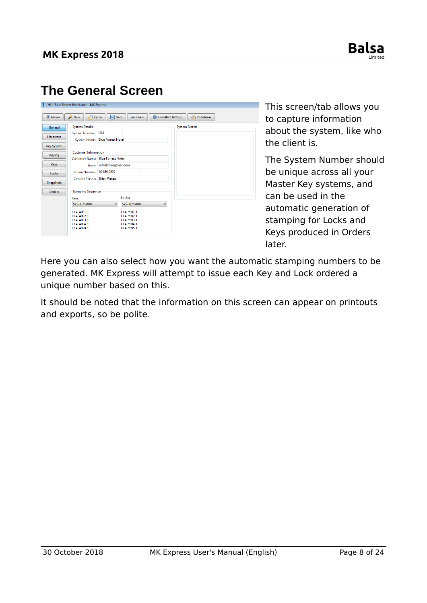

# <span id="page-7-0"></span>**The General Screen**

| Menu                                                                                                     | New<br>Open                                                                                                                                                                                                                        | Save                                                                           | $=$ Close                                                                          | Calculate Bittings | Phantoms             |
|----------------------------------------------------------------------------------------------------------|------------------------------------------------------------------------------------------------------------------------------------------------------------------------------------------------------------------------------------|--------------------------------------------------------------------------------|------------------------------------------------------------------------------------|--------------------|----------------------|
| General<br><b>Hardware</b><br>Key System<br>Keying<br>Keys<br>Locks<br><b>Snapshots</b><br><b>Orders</b> | <b>System Details</b><br>System Number: HL4<br>System Name: Blue Forrest Hotel<br><b>Customer Information</b><br><b>Customer Name:</b><br>Phone Number: 09 889 2502<br><b>Contact Person:</b><br><b>Stamping Sequence</b><br>Keys: | <b>Blue Forrest Hotel</b><br>Email: info@mkexpress.com<br><b>Brian Pieters</b> | Locks:                                                                             |                    | <b>System Notes:</b> |
|                                                                                                          | SYS-KEY-###<br>HL4-A001-1<br>HI4-A002-1<br>HL4-A003-1<br>HL4-A004-1<br>HL4-A020-1                                                                                                                                                  | $\overline{\phantom{a}}$                                                       | SYS-KEY-###<br>HI 4-Y001-1<br>HI4-Y002-1<br>HL4-Y003-1<br>HL4-Y004-1<br>HL4-Y005-1 | ▼                  |                      |

This screen/tab allows you to capture information about the system, like who the client is.

The System Number should be unique across all your Master Key systems, and can be used in the automatic generation of stamping for Locks and Keys produced in Orders later.

Here you can also select how you want the automatic stamping numbers to be generated. MK Express will attempt to issue each Key and Lock ordered a unique number based on this.

It should be noted that the information on this screen can appear on printouts and exports, so be polite.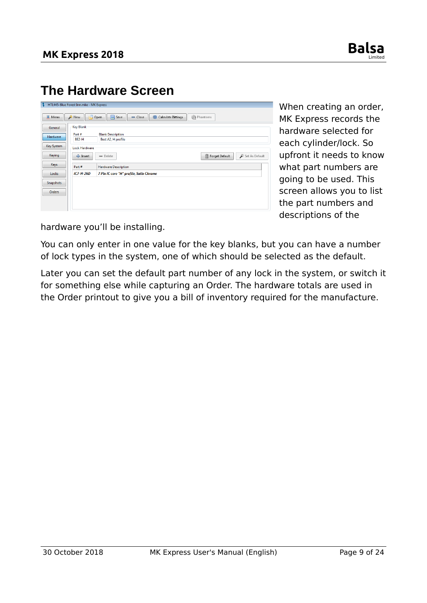

# <span id="page-8-0"></span>**The Hardware Screen**

| и                | HTL445-Blue Forest Inn.mke - MK Express |                                                                                 |
|------------------|-----------------------------------------|---------------------------------------------------------------------------------|
| Menu             | New                                     | <b>Save</b><br>$\Box$ Open<br><b>%Phantoms</b><br>Calculate Bittings<br>□ Close |
| General          | <b>Key Blank</b>                        |                                                                                 |
| <b>Hardware</b>  | Part#<br>BE <sub>2</sub> -H             | <b>Blank Description</b><br>Best A2, H profile                                  |
| Key System       | <b>Lock Hardware</b>                    |                                                                                 |
| Keying           | 수 Insert                                | Set As Default<br>Forget Default<br>$=$ Delete                                  |
| Keys             | Part#                                   | <b>Hardware Description</b>                                                     |
| Locks            | $IC7-H-26D$                             | 7 Pin IC core "H" profile, Satin Chrome                                         |
| <b>Snapshots</b> |                                         |                                                                                 |
| Orders           |                                         |                                                                                 |
|                  |                                         |                                                                                 |
|                  |                                         |                                                                                 |

When creating an order, MK Express records the hardware selected for each cylinder/lock. So upfront it needs to know what part numbers are going to be used. This screen allows you to list the part numbers and descriptions of the

hardware you'll be installing.

You can only enter in one value for the key blanks, but you can have a number of lock types in the system, one of which should be selected as the default.

Later you can set the default part number of any lock in the system, or switch it for something else while capturing an Order. The hardware totals are used in the Order printout to give you a bill of inventory required for the manufacture.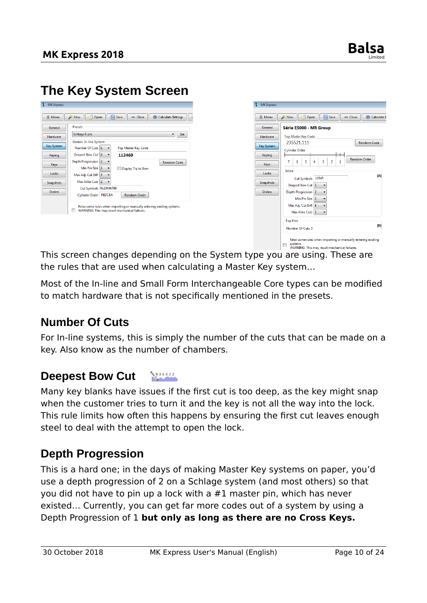# <span id="page-9-3"></span>**The Key System Screen**

| General           | Presets                                                                |
|-------------------|------------------------------------------------------------------------|
| Hardware          | Schlage 6 pin<br>Set<br>▼                                              |
|                   | Generic In-line System                                                 |
| <b>Key System</b> | Number Of Cuts 6<br><b>Top Master Key Code</b>                         |
| Keying            | Deepest Bow Cut 9<br>112460                                            |
| Keys              | Depth Progression 2<br><b>Random Code</b>                              |
|                   | Min Pin Size 2<br>Display Tip to Bow                                   |
| Locks             | Max Adj. Cut Diff 7                                                    |
| Snapshots         | Max Alike Cuts 2                                                       |
|                   | Cut Symbols 0123456789                                                 |
| Orders            | Cylinder Order FEDCBA<br>Random Order                                  |
|                   | Relax some rules when importing or manually entering existing systems. |

| <b>亚 Menu</b>     | Save<br>New<br>$\Box$ Open                   | Calculate E<br>$=$ Close |
|-------------------|----------------------------------------------|--------------------------|
| General           | Série E5000 - MR Group                       |                          |
| Hardware          | <b>Top Master Key Code</b>                   |                          |
| <b>Key System</b> | 235521.111                                   | <b>Random Code</b>       |
| Keying            | <b>Cylinder Order</b><br>B.                  | <b>Random Order</b>      |
| Keys              | 5<br>$\overline{2}$<br>6<br>3<br>7<br>4<br>1 |                          |
| Locks             | Inline<br>Cut Symbols 12345                  | [A]                      |
| Snapshots         | Deepest Bow Cut 5                            |                          |
| Orders            | Depth Progression 2<br>Min Pin Size 2        |                          |
|                   | Max Adj. Cut Diff 4                          |                          |
|                   | Max Alike Cuts <sup>3</sup>                  |                          |
|                   | <b>Top Pins</b>                              |                          |
|                   | Number Of Cuts 3                             | [ <sub>B</sub> ]         |

systems.<br>WARNING: This may result mechanical failures. This screen changes depending on the System type you are using. These are the rules that are used when calculating a Master Key system…

Most of the In-line and Small Form Interchangeable Core types can be modified to match hardware that is not specifically mentioned in the presets.

#### <span id="page-9-2"></span>**Number Of Cuts**

For In-line systems, this is simply the number of the cuts that can be made on a key. Also know as the number of chambers.

#### <span id="page-9-1"></span> $\frac{6}{9}$  9 3 6 0 2 2 **Deepest Bow Cut**

Many key blanks have issues if the first cut is too deep, as the key might snap when the customer tries to turn it and the key is not all the way into the lock. This rule limits how often this happens by ensuring the first cut leaves enough steel to deal with the attempt to open the lock.

#### <span id="page-9-0"></span>**Depth Progression**

This is a hard one; in the days of making Master Key systems on paper, you'd use a depth progression of 2 on a Schlage system (and most others) so that you did not have to pin up a lock with a #1 master pin, which has never existed… Currently, you can get far more codes out of a system by using a Depth Progression of 1 **but only as long as there are no Cross Keys.**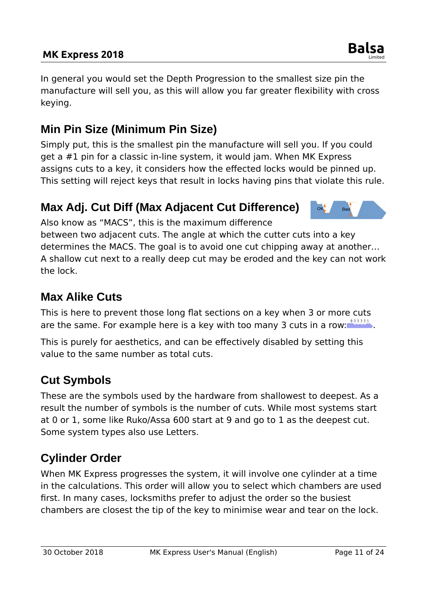#### **MK Express 2018 Balsa**

In general you would set the Depth Progression to the smallest size pin the manufacture will sell you, as this will allow you far greater flexibility with cross keying.

# <span id="page-10-4"></span>**Min Pin Size (Minimum Pin Size)**

Simply put, this is the smallest pin the manufacture will sell you. If you could get a #1 pin for a classic in-line system, it would jam. When MK Express assigns cuts to a key, it considers how the effected locks would be pinned up. This setting will reject keys that result in locks having pins that violate this rule.

# <span id="page-10-3"></span>**Max Adj. Cut Diff (Max Adjacent Cut Difference)**

Also know as "MACS", this is the maximum difference between two adjacent cuts. The angle at which the cutter cuts into a key

determines the MACS. The goal is to avoid one cut chipping away at another… A shallow cut next to a really deep cut may be eroded and the key can not work the lock.

## <span id="page-10-2"></span>**Max Alike Cuts**

This is here to prevent those long flat sections on a key when 3 or more cuts are the same. For example here is a key with too many 3 cuts in a row:  $\frac{333331}{12}$ .

This is purely for aesthetics, and can be effectively disabled by setting this value to the same number as total cuts.

# <span id="page-10-1"></span>**Cut Symbols**

These are the symbols used by the hardware from shallowest to deepest. As a result the number of symbols is the number of cuts. While most systems start at 0 or 1, some like Ruko/Assa 600 start at 9 and go to 1 as the deepest cut. Some system types also use Letters.

# <span id="page-10-0"></span>**Cylinder Order**

When MK Express progresses the system, it will involve one cylinder at a time in the calculations. This order will allow you to select which chambers are used first. In many cases, locksmiths prefer to adjust the order so the busiest chambers are closest the tip of the key to minimise wear and tear on the lock.



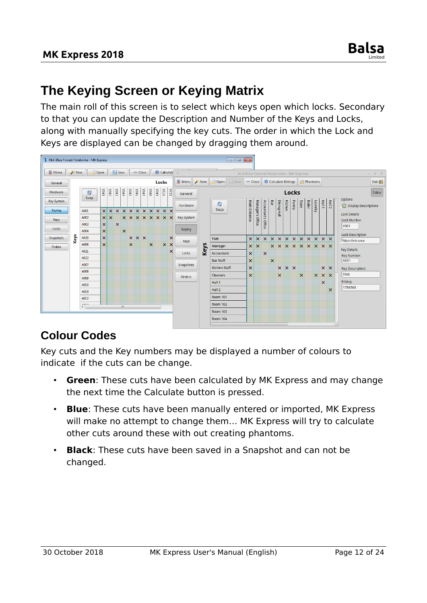# <span id="page-11-1"></span>**The Keying Screen or Keying Matrix**

The main roll of this screen is to select which keys open which locks. Secondary to that you can update the Description and Number of the Keys and Locks, along with manually specifying the key cuts. The order in which the Lock and Keys are displayed can be changed by dragging them around.



## <span id="page-11-0"></span>**Colour Codes**

Key cuts and the Key numbers may be displayed a number of colours to indicate if the cuts can be change.

- **Green:** These cuts have been calculated by MK Express and may change the next time the Calculate button is pressed.
- **Blue**: These cuts have been manually entered or imported, MK Express will make no attempt to change them… MK Express will try to calculate other cuts around these with out creating phantoms.
- **Black**: These cuts have been saved in a Snapshot and can not be changed.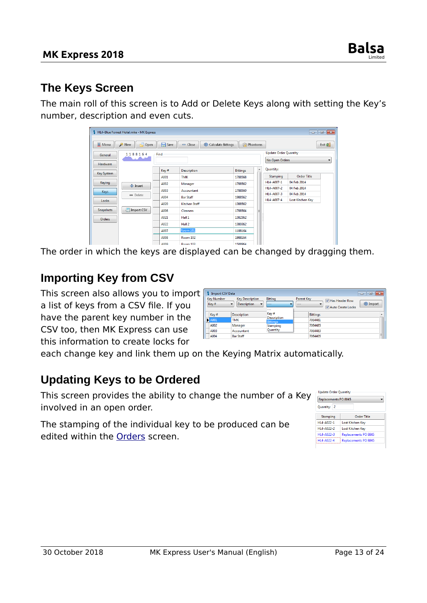#### <span id="page-12-2"></span>**The Keys Screen**

The main roll of this screen is to Add or Delete Keys along with setting the Key's number, description and even cuts.

|                  | HL4-Blue Forrest Hotel.mke - MK Express |      |                                 |                 |                  |                              | $\Box$ x<br>- 1          |
|------------------|-----------------------------------------|------|---------------------------------|-----------------|------------------|------------------------------|--------------------------|
| <b>IF</b> Menu   | $\Box$ Open<br>New                      | Save | Calculate Bittings<br>$=$ Close | Phantoms        |                  |                              | Exit $\frac{1}{2}$       |
| General          | 1188164                                 | Find |                                 |                 |                  | <b>Update Order Quantity</b> |                          |
| Hardware         |                                         |      |                                 |                 |                  | No Open Orders               | $\overline{\phantom{a}}$ |
|                  |                                         | Key# | <b>Description</b>              | <b>Bittings</b> | $\blacktriangle$ | Quantity:                    |                          |
| Key System       |                                         | A001 | <b>TMK</b>                      | 1788568         |                  | Stamping                     | <b>Order Title</b>       |
| Keying           | 수 Insert                                | A002 | Manager                         | 1788562         |                  | HL4-A007-1                   | 04 Feb 2014              |
| <b>Keys</b>      |                                         | A003 | Accountant                      | 1788560         |                  | HL4-A007-2                   | 04 Feb 2014              |
|                  | $=$ Delete                              | A004 | <b>Bar Staff</b>                | 1988562         |                  | HL4-A007-3                   | 04 Feb 2014              |
| Locks            |                                         | A020 | <b>Kitchen Staff</b>            | 1388562         |                  | HL4-A007-4                   | Lost Kitchen Key         |
| <b>Snapshots</b> | Import CSV                              | A006 | Cleaners                        | 1788564         | Ξ                |                              |                          |
| Orders           |                                         | A021 | Hall 1                          | 1382362         |                  |                              |                          |
|                  |                                         | A022 | Hall 2                          | 1380362         |                  |                              |                          |
|                  |                                         | A007 | Room 101                        | 1188164         |                  |                              |                          |
|                  |                                         | A008 | Room 102                        | 1988164         |                  |                              |                          |
|                  |                                         | ADDD | $D = 102$                       | 1 EDDOG A       |                  |                              |                          |

The order in which the keys are displayed can be changed by dragging them.

## <span id="page-12-1"></span>**Importing Key from CSV**

This screen also allows you to import a list of keys from a CSV file. If you have the parent key number in the CSV too, then MK Express can use this information to create locks for

| <b>Import CSV Data</b>                                                                                                            |                    |                                       | $\parallel$ $\Box$ $\parallel$ $\infty$<br>$\Box$                              |
|-----------------------------------------------------------------------------------------------------------------------------------|--------------------|---------------------------------------|--------------------------------------------------------------------------------|
| <b>Kev Number</b><br><b>Kev Description</b><br>$\overline{\phantom{a}}$<br><b>Description</b><br>Key#<br>$\overline{\phantom{a}}$ |                    | Bitting<br>---<br>---                 | <b>Parent Kev</b><br>Has Header Row<br>import<br>-<br>---<br>Auto Create Locks |
| Key#                                                                                                                              | <b>Description</b> | Key#                                  | <b>Bittings</b><br>۸                                                           |
| N<br>A001                                                                                                                         | <b>TMK</b>         | <b>Description</b><br><b>Bittings</b> | 7064481                                                                        |
| A002                                                                                                                              | Manager            | Stamping                              | 7064485                                                                        |
| A003                                                                                                                              | Accountant         | Quantity                              | 7064483                                                                        |
| A004                                                                                                                              | <b>Bar Staff</b>   |                                       | Ξ<br>7064405                                                                   |

each change key and link them up on the Keying Matrix automatically.

## <span id="page-12-0"></span>**Updating Keys to be Ordered**

This screen provides the ability to change the number of a Key involved in an open order.

The stamping of the individual key to be produced can be edited within the [Orders](#page-4-0) screen.

| Replacements PO 8845   |                             |
|------------------------|-----------------------------|
| Quantity: 2            |                             |
| Stamping               | Order Title                 |
| HL4-A022-1             | Lost Kitchen Kev            |
| $H14 - \Delta 022 - 2$ | Lost Kitchen Key            |
| HL4-A022-3             | <b>Replacements PO 8845</b> |
| HL4-A022-4             | Replacements PO 8845        |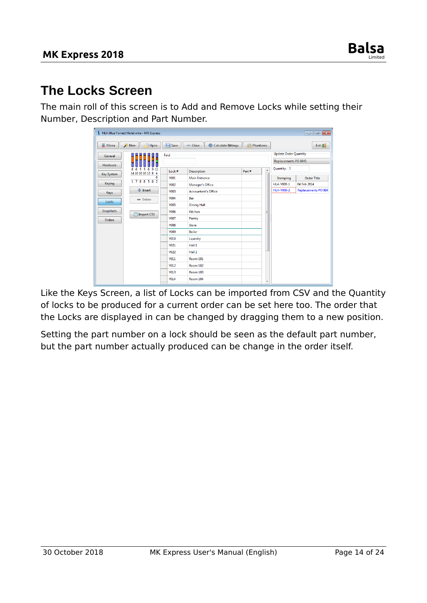

# <span id="page-13-0"></span>**The Locks Screen**

The main roll of this screen is to Add and Remove Locks while setting their Number, Description and Part Number.

|                   | HL4-Blue Forrest Hotel.mke - MK Express |             |                                 |                              |                      | $ \blacksquare$     |
|-------------------|-----------------------------------------|-------------|---------------------------------|------------------------------|----------------------|---------------------|
| <b>亚 Menu</b>     | Open<br>New                             | Save        | $=$ Close<br>Calculate Bittings | Phantoms                     |                      | Exit $\frac{1}{2}$  |
| General           |                                         | Find        |                                 | <b>Update Order Quantity</b> |                      |                     |
| Hardware          |                                         |             |                                 |                              | Replacements PO 8845 |                     |
|                   | 6 9 11<br>8<br>6<br>5<br>-5             | Lock#       | <b>Description</b>              | Quantity: 1                  |                      |                     |
| <b>Key System</b> | 14 10 10 10 12 8 4<br>6                 | <b>Y001</b> | <b>Main Entrance</b>            |                              | Stamping             | <b>Order Title</b>  |
| Keying            | 1788562                                 | <b>Y002</b> | Manager's Office                |                              | HL4-Y009-1           | 04 Feb 2014         |
| Keys              | 수 Insert                                | <b>Y003</b> | <b>Accountant's Office</b>      |                              | HL4-Y009-2           | Replacements PO 884 |
| Locks             | - Delete                                | <b>Y004</b> | Bar                             |                              |                      |                     |
|                   |                                         | <b>Y005</b> | <b>Dining Hall</b>              |                              |                      |                     |
| Snapshots         | Import CSV                              | <b>Y006</b> | Kitchen                         |                              |                      |                     |
| <b>Orders</b>     |                                         | <b>Y007</b> | Pantry                          |                              |                      |                     |
|                   |                                         | <b>Y008</b> | <b>Store</b>                    |                              |                      |                     |
|                   |                                         | <b>Y009</b> | <b>Boiler</b>                   |                              |                      |                     |
|                   |                                         | <b>Y010</b> | Laundry                         |                              |                      |                     |
|                   |                                         | <b>Y021</b> | Hall 1                          |                              |                      |                     |
|                   |                                         | <b>Y022</b> | Hall 2                          |                              |                      |                     |
|                   |                                         | <b>Y011</b> | <b>Room 101</b>                 |                              |                      |                     |
|                   |                                         | <b>Y012</b> | Room 102                        |                              |                      |                     |
|                   |                                         | <b>Y013</b> | Room 103                        |                              |                      |                     |
|                   |                                         | <b>Y014</b> | Room 104                        | ۰                            |                      |                     |

Like the Keys Screen, a list of Locks can be imported from CSV and the Quantity of locks to be produced for a current order can be set here too. The order that the Locks are displayed in can be changed by dragging them to a new position.

Setting the part number on a lock should be seen as the default part number, but the part number actually produced can be change in the order itself.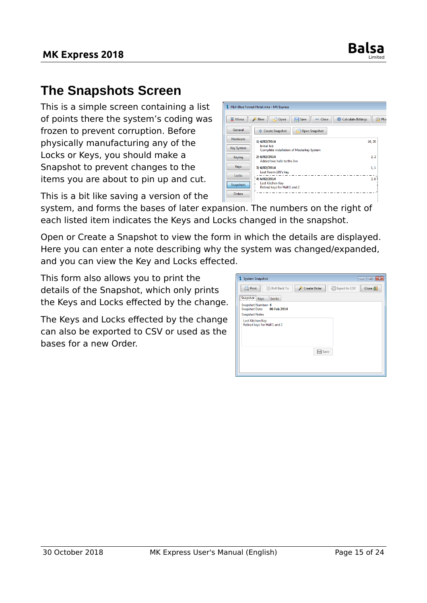

# <span id="page-14-0"></span>**The Snapshots Screen**

This is a simple screen containing a list of points there the system's coding was frozen to prevent corruption. Before physically manufacturing any of the Locks or Keys, you should make a Snapshot to prevent changes to the items you are about to pin up and cut.

This is a bit like saving a version of the



system, and forms the bases of later expansion. The numbers on the right of each listed item indicates the Keys and Locks changed in the snapshot.

Open or Create a Snapshot to view the form in which the details are displayed. Here you can enter a note describing why the system was changed/expanded, and you can view the Key and Locks effected.

This form also allows you to print the details of the Snapshot, which only prints the Keys and Locks effected by the change.

The Keys and Locks effected by the change can also be exported to CSV or used as the bases for a new Order.

| System Snapshot                                            | $\Box$ $\Box$<br>$\overline{\phantom{a}}$         |
|------------------------------------------------------------|---------------------------------------------------|
| Roll Back To<br><b>Print</b>                               | Create Order<br>Close <b>D</b><br>图 Export to CSV |
| ,,,,,,,,,,,,,,,,,,,,,,,,,,,<br>Snapshot Keys<br>Locks      |                                                   |
| Snapshot Number: 4<br><b>Snapshot Date:</b><br>06 Feb 2014 |                                                   |
| <b>Snapshot Notes</b>                                      |                                                   |
| Lost Kitchen Key<br>Retired keys for Hall 1 and 2          |                                                   |
|                                                            | Save                                              |
|                                                            |                                                   |
|                                                            |                                                   |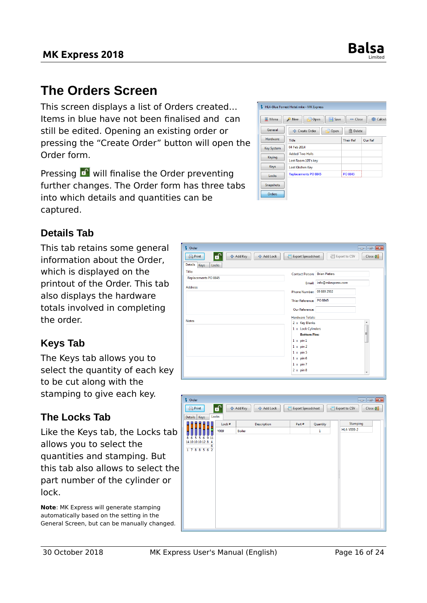

# <span id="page-15-1"></span>**The Orders Screen**

This screen displays a list of Orders created… Items in blue have not been finalised and can still be edited. Opening an existing order or pressing the "Create Order" button will open the Order form.

Pressing  $\blacksquare$  will finalise the Order preventing further changes. The Order form has three tabs into which details and quantities can be captured.



#### <span id="page-15-0"></span>**Details Tab**

This tab retains some general information about the Order, which is displayed on the printout of the Order. This tab also displays the hardware totals involved in completing the order.

#### <span id="page-15-3"></span>**Keys Tab**

The Keys tab allows you to select the quantity of each key to be cut along with the stamping to give each key.

#### <span id="page-15-2"></span>**The Locks Tab**

Like the Keys tab, the Locks tab allows you to select the quantities and stamping. But this tab also allows to select the part number of the cylinder or lock.

**Note**: MK Express will generate stamping automatically based on the setting in the General Screen, but can be manually changed.

| <b>S</b> Order                                | $\begin{array}{c c c c c} \hline \multicolumn{3}{c }{\multicolumn{3}{c }{\multicolumn{3}{c }{\mid}} & \multicolumn{3}{c }{\multicolumn{3}{c }{\mid}} & \multicolumn{3}{c }{\multicolumn{3}{c }{\mid}} & \multicolumn{3}{c }{\multicolumn{3}{c }{\mid}} & \multicolumn{3}{c }{\multicolumn{3}{c }{\mid}} & \multicolumn{3}{c }{\multicolumn{3}{c }{\mid}} & \multicolumn{3}{c }{\multicolumn{3}{c }{\mid}} & \multicolumn{3}{c }{\mid}} & \multicolumn{3}{c }{$ |
|-----------------------------------------------|----------------------------------------------------------------------------------------------------------------------------------------------------------------------------------------------------------------------------------------------------------------------------------------------------------------------------------------------------------------------------------------------------------------------------------------------------------------|
| $\bullet$<br>수 Add Key<br>Print<br>수 Add Lock | 图 Export to CSV<br><b>Export Spreadsheet</b><br>Close 2                                                                                                                                                                                                                                                                                                                                                                                                        |
| <b>Details</b><br>Keys<br>Locks               |                                                                                                                                                                                                                                                                                                                                                                                                                                                                |
| <b>Title:</b>                                 | <b>Contact Person: Brian Pieters</b>                                                                                                                                                                                                                                                                                                                                                                                                                           |
| Replacements PO 8845                          |                                                                                                                                                                                                                                                                                                                                                                                                                                                                |
|                                               | Email: info@mkexpress.com                                                                                                                                                                                                                                                                                                                                                                                                                                      |
| Address:                                      | Phone Number: 09 889 2502                                                                                                                                                                                                                                                                                                                                                                                                                                      |
|                                               |                                                                                                                                                                                                                                                                                                                                                                                                                                                                |
|                                               | Thier Reference: PO 8845                                                                                                                                                                                                                                                                                                                                                                                                                                       |
|                                               | Our Reference:                                                                                                                                                                                                                                                                                                                                                                                                                                                 |
|                                               |                                                                                                                                                                                                                                                                                                                                                                                                                                                                |
| <b>Notes</b>                                  | <b>Hardware Totals:</b>                                                                                                                                                                                                                                                                                                                                                                                                                                        |
|                                               | 2 x Key Blanks<br>$\blacktriangle$                                                                                                                                                                                                                                                                                                                                                                                                                             |
|                                               | 1 x Lock Cylinders<br>Ε                                                                                                                                                                                                                                                                                                                                                                                                                                        |
|                                               | <b>Bottom Pins:</b>                                                                                                                                                                                                                                                                                                                                                                                                                                            |
|                                               | $1 \times p$ in $1$                                                                                                                                                                                                                                                                                                                                                                                                                                            |
|                                               | $1 \times pin2$                                                                                                                                                                                                                                                                                                                                                                                                                                                |
|                                               | $1 \times pin 5$                                                                                                                                                                                                                                                                                                                                                                                                                                               |
|                                               | $1 \times pin 6$                                                                                                                                                                                                                                                                                                                                                                                                                                               |
|                                               | $1 \times pin 7$                                                                                                                                                                                                                                                                                                                                                                                                                                               |
|                                               | $2 \times p$ in 8<br>$\overline{\phantom{a}}$                                                                                                                                                                                                                                                                                                                                                                                                                  |
|                                               |                                                                                                                                                                                                                                                                                                                                                                                                                                                                |

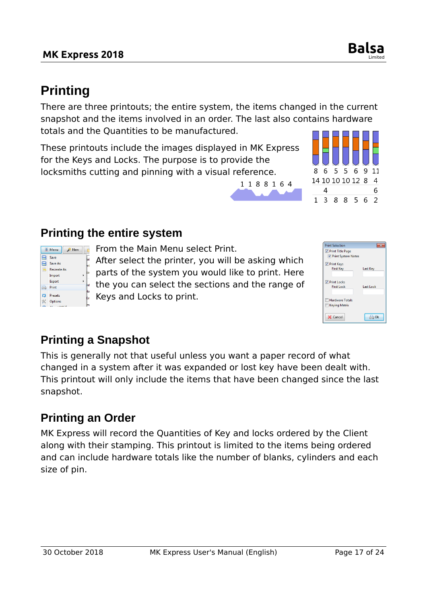**Save** Save As Recreate As Import Export **Print**  $\overline{Q}$  Presets  $\mathscr K$  Options

<span id="page-16-1"></span>This is generally not that useful unless you want a paper record of what changed in a system after it was expanded or lost key have been dealt with. This printout will only include the items that have been changed since the last snapshot.

# <span id="page-16-0"></span>**Printing an Order**

MK Express will record the Quantities of Key and locks ordered by the Client along with their stamping. This printout is limited to the items being ordered and can include hardware totals like the number of blanks, cylinders and each size of pin.

## **MK Express 2018 Balsa**

# <span id="page-16-3"></span>**Printing**

There are three printouts; the entire system, the items changed in the current snapshot and the items involved in an order. The last also contains hardware totals and the Quantities to be manufactured.

1188164

These printouts include the images displayed in MK Express for the Keys and Locks. The purpose is to provide the locksmiths cutting and pinning with a visual reference.

## <span id="page-16-2"></span>**Printing the entire system**

**EXARDED FROM THE MAIN MENU Select Print.** 

After select the printer, you will be asking which parts of the system you would like to print. Here the you can select the sections and the range of Keys and Locks to print.

| <b>V</b> Print Title Page<br>Print System Notes |                  |
|-------------------------------------------------|------------------|
| <b>V</b> Print Keys<br><b>First Key</b>         | <b>Last Key</b>  |
| <b>V</b> Print Locks<br><b>First Lock</b>       | <b>Last Lock</b> |
| Hardware Totals<br>Keying Matrix                |                  |
| Cancel                                          | 0 <sup>k</sup>   |

 $\boxed{\mathbf{x}}$ 



**Print Selection**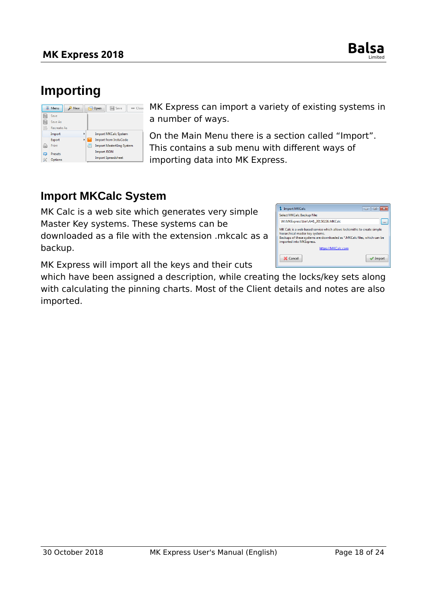

# <span id="page-17-1"></span>**Importing**

|        | <b>亚 Menu</b><br>New                  |   | Open | Save<br>$=$ Close                                               |
|--------|---------------------------------------|---|------|-----------------------------------------------------------------|
| ⊫<br>⊫ | Save<br>Save As<br><b>Recreate As</b> |   |      |                                                                 |
|        | Import                                | ٠ |      | <b>Import MKCalc System</b>                                     |
| 置      | Export<br>Print                       |   |      | <b>Import from InstaCode</b><br><b>Import MasterKing System</b> |
| ධ<br>≪ | <b>Presets</b><br>Options             |   |      | <b>Import JSON</b><br><b>Import Spreadsheet</b>                 |

MK Express can import a variety of existing systems in a number of ways.

On the Main Menu there is a section called "Import". This contains a sub menu with different ways of importing data into MK Express.

#### <span id="page-17-0"></span>**Import MKCalc System**

MK Calc is a web site which generates very simple Master Key systems. These systems can be downloaded as a file with the extension .mkcalc as a backup.

| <b>Import MKCalc</b>                                                                                                                                                                                                | E                  |  |  |  |  |
|---------------------------------------------------------------------------------------------------------------------------------------------------------------------------------------------------------------------|--------------------|--|--|--|--|
| Select MKCalc Backup File:                                                                                                                                                                                          |                    |  |  |  |  |
| W:\MKExpress\bin\AH1_20150226.MKCalc                                                                                                                                                                                |                    |  |  |  |  |
| MK Calc is a web based service which allows locksmiths to create simple<br>hierarchical master key systems.<br>Backups of these systems are downloaded as *. MKCalc files, which can be<br>imported into MKExpress. |                    |  |  |  |  |
|                                                                                                                                                                                                                     | https://MKCalc.com |  |  |  |  |
| X Cancel                                                                                                                                                                                                            | Import             |  |  |  |  |

MK Express will import all the keys and their cuts

which have been assigned a description, while creating the locks/key sets along with calculating the pinning charts. Most of the Client details and notes are also imported.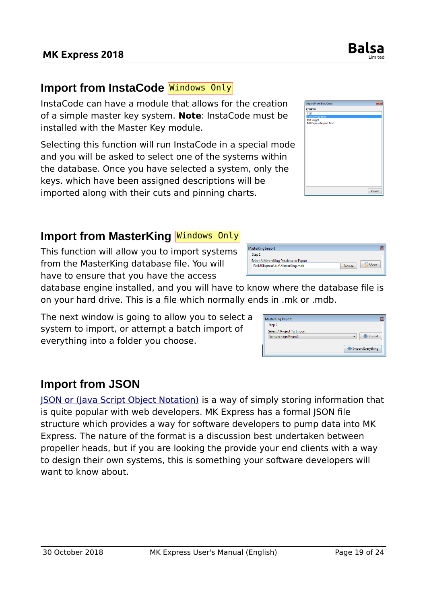## <span id="page-18-2"></span>**Import from InstaCode** Windows Only

InstaCode can have a module that allows for the creation of a simple master key system. **Note**: InstaCode must be installed with the Master Key module.

Selecting this function will run InstaCode in a special mode and you will be asked to select one of the systems within the database. Once you have selected a system, only the keys. which have been assigned descriptions will be imported along with their cuts and pinning charts.

## <span id="page-18-1"></span>**Import from MasterKing Nindows Only**

This function will allow you to import systems from the MasterKing database file. You will have to ensure that you have the access

database engine installed, and you will have to know where the database file is on your hard drive. This is a file which normally ends in .mk or .mdb.

The next window is going to allow you to select a system to import, or attempt a batch import of everything into a folder you choose.

## <span id="page-18-0"></span>**Import from JSON**

[JSON or \(Java Script Object Notation\)](https://en.wikipedia.org/wiki/JSON) is a way of simply storing information that is quite popular with web developers. MK Express has a formal JSON file structure which provides a way for software developers to pump data into MK Express. The nature of the format is a discussion best undertaken between propeller heads, but if you are looking the provide your end clients with a way to design their own systems, this is something your software developers will want to know about.



| W:\MKExpress\bin\MasterKing.mdb                  | <b>Browse</b> |
|--------------------------------------------------|---------------|
| Step 1<br>Select A MasterKing Database or Export |               |
| <b>INIGSLETNING INTIDUIT</b>                     | ı             |

| Step 2                                                          |                 |
|-----------------------------------------------------------------|-----------------|
| <b>Select A Project To Import</b><br><b>Sample Page Project</b> | <b>S</b> Import |
|                                                                 |                 |

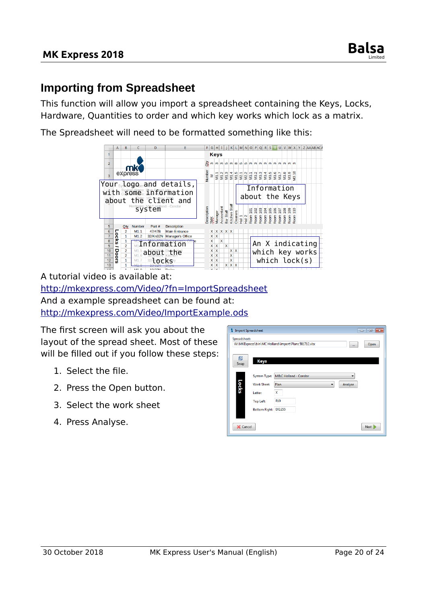

#### <span id="page-19-0"></span>**Importing from Spreadsheet**

This function will allow you import a spreadsheet containing the Keys, Locks, Hardware, Quantities to order and which key works which lock as a matrix.

The Spreadsheet will need to be formatted something like this:



A tutorial video is available at: <http://mkexpress.com/Video/?fn=ImportSpreadsheet> And a example spreadsheet can be found at: <http://mkexpress.com/Video/ImportExample.ods>

The first screen will ask you about the layout of the spread sheet. Most of these will be filled out if you follow these steps:

- 1. Select the file.
- 2. Press the Open button.
- 3. Select the work sheet
- 4. Press Analyse.

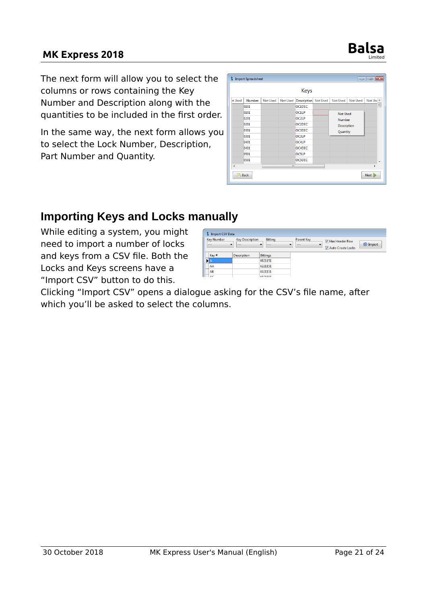# **MK Express 2018 Balsa**



In the same way, the next form allows you to select the Lock Number, Description, Part Number and Quantity.

| <b>Keys</b>          |        |                 |          |                      |  |                    |          |                         |
|----------------------|--------|-----------------|----------|----------------------|--|--------------------|----------|-------------------------|
| ot Used              | Number | <b>Not Used</b> | Not Used | Description Not Used |  | <b>Not Used</b>    | Not Used | Not Use A               |
|                      | 0101   |                 |          | OC1DEC               |  |                    |          | 틔                       |
|                      | 0101   |                 |          | OC1LP                |  | <b>Not Used</b>    |          |                         |
|                      | 0201   |                 |          | OC2LP                |  | Number             |          |                         |
|                      | 0201   |                 |          | OC2DEC               |  | <b>Description</b> |          |                         |
|                      | 0301   |                 |          | <b>OC3DEC</b>        |  | Quantity           |          |                         |
|                      | 0301   |                 |          | <b>OC3LP</b>         |  |                    |          |                         |
|                      | 0401   |                 |          | OC4LP                |  |                    |          |                         |
|                      | 0401   |                 |          | OC4DEC               |  |                    |          |                         |
|                      | 0501   |                 |          | <b>OC5LP</b>         |  |                    |          |                         |
|                      | 0501   |                 |          | <b>OC5DEC</b>        |  |                    |          | $\overline{\mathbf{v}}$ |
| $\blacktriangleleft$ |        |                 | m.       |                      |  |                    |          | k                       |

## <span id="page-20-0"></span>**Importing Keys and Locks manually**

While editing a system, you might need to import a number of locks and keys from a CSV file. Both the Locks and Keys screens have a "Import CSV" button to do this.

| <b>S</b> Import CSV Data            |                                   |                                               |                              |                                     |        |
|-------------------------------------|-----------------------------------|-----------------------------------------------|------------------------------|-------------------------------------|--------|
| <b>Key Number</b><br>$\cdot$<br>$-$ | <b>Key Description</b><br>$- - -$ | <b>Bitting</b><br>$\blacktriangledown$<br>$-$ | <b>Parent Key</b><br>$- - -$ | Has Header Row<br>Auto Create Locks | inport |
| Key#                                | <b>Description</b>                | <b>Bittings</b>                               |                              |                                     |        |
|                                     |                                   | 6621151                                       |                              |                                     |        |
|                                     |                                   | 6221151                                       |                              |                                     |        |
| $\frac{AA}{AB}$                     |                                   | 6021151                                       |                              |                                     |        |
| $\sqrt{2}$                          |                                   | 6921151                                       |                              |                                     |        |

Clicking "Import CSV" opens a dialogue asking for the CSV's file name, after which you'll be asked to select the columns.

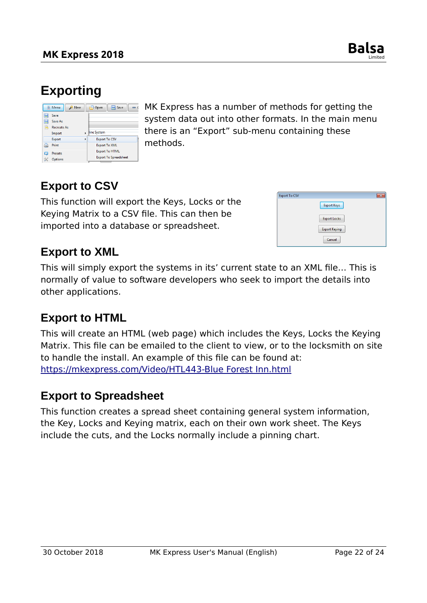

# <span id="page-21-4"></span>**Exporting**

|             | <b>亚 Menu</b><br><b>New</b>           |   | 鳫<br>Save<br>Open<br>$\overline{\phantom{0}}$         |
|-------------|---------------------------------------|---|-------------------------------------------------------|
| 厝<br>H<br>B | Save<br>Save As<br><b>Recreate As</b> |   |                                                       |
|             | Import                                |   | line System                                           |
|             | Export                                | b | <b>Export To CSV</b>                                  |
| ها          | Print                                 |   | <b>Export To XML</b>                                  |
| ධ<br>≪      | <b>Presets</b><br>Options             |   | <b>Export To HTML</b><br><b>Export To Spreadsheet</b> |

MK Express has a number of methods for getting the system data out into other formats. In the main menu there is an "Export" sub-menu containing these methods.

## <span id="page-21-3"></span>**Export to CSV**

This function will export the Keys, Locks or the Keying Matrix to a CSV file. This can then be imported into a database or spreadsheet.

| <b>Export To CSV</b> |                      | x |
|----------------------|----------------------|---|
|                      | <b>Export Keys</b>   |   |
|                      | <b>Export Locks</b>  |   |
|                      | <b>Export Keying</b> |   |
|                      | Cancel               |   |

#### <span id="page-21-2"></span>**Export to XML**

This will simply export the systems in its' current state to an XML file… This is normally of value to software developers who seek to import the details into other applications.

## <span id="page-21-1"></span>**Export to HTML**

This will create an HTML (web page) which includes the Keys, Locks the Keying Matrix. This file can be emailed to the client to view, or to the locksmith on site to handle the install. An example of this file can be found at: [https://mkexpress.com/Video/HTL443-Blue Forest Inn.html](https://mkexpress.com/Video/HTL443-Blue%20Forest%20Inn.html)

#### <span id="page-21-0"></span>**Export to Spreadsheet**

This function creates a spread sheet containing general system information, the Key, Locks and Keying matrix, each on their own work sheet. The Keys include the cuts, and the Locks normally include a pinning chart.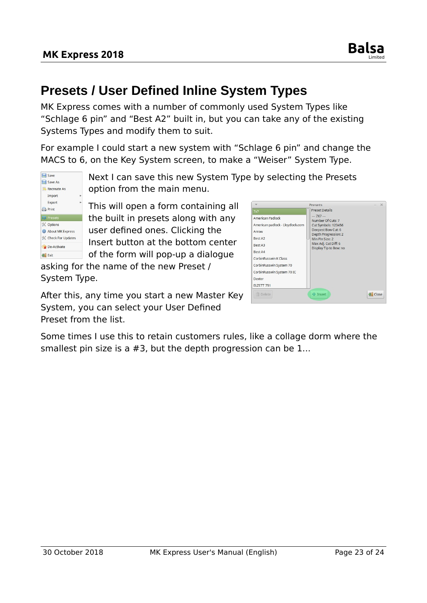# <span id="page-22-0"></span>**Presets / User Defined Inline System Types**

MK Express comes with a number of commonly used System Types like "Schlage 6 pin" and "Best A2" built in, but you can take any of the existing Systems Types and modify them to suit.

For example I could start a new system with "Schlage 6 pin" and change the MACS to 6, on the Key System screen, to make a "Weiser" System Type.

Save Save As Recreate As Import Export **Print D** Prese **X** Options About MK Express K Check For Updates De-Activate  $\mathbf{E}$  Exit

Next I can save this new System Type by selecting the Presets option from the main menu.

This will open a form containing all the built in presets along with any user defined ones. Clicking the Insert button at the bottom center of the form will pop-up a dialogue

asking for the name of the new Preset / System Type.

After this, any time you start a new Master Key System, you can select your User Defined Preset from the list.

|                                                                                                                                                                                                          | Presets                                                                                                                                                                                                | $\times$ |
|----------------------------------------------------------------------------------------------------------------------------------------------------------------------------------------------------------|--------------------------------------------------------------------------------------------------------------------------------------------------------------------------------------------------------|----------|
| 7x7<br>American Padlock<br>American padlock - Lloydlock.com<br>Arrow<br>Best A2<br>Best A3<br>Best A4<br>CorbinRusswin K Class<br>CorbinRusswin System 70<br>CorbinRusswin System 70 IC<br><b>Dexter</b> | <b>Preset Details</b><br>$-7X7-$<br>Number Of Cuts: 7<br>Cut Symbols: 123456<br>Deepest Bow Cut: 6<br><b>Depth Progression: 2</b><br>Min Pin Size: 2<br>Max Adj. Cut Diff: 6<br>Display Tip to Bow: no |          |
| <b>FLZETT 751</b><br><b>Delete</b>                                                                                                                                                                       | 수 Insert                                                                                                                                                                                               | Close    |

Some times I use this to retain customers rules, like a collage dorm where the smallest pin size is a #3, but the depth progression can be 1...